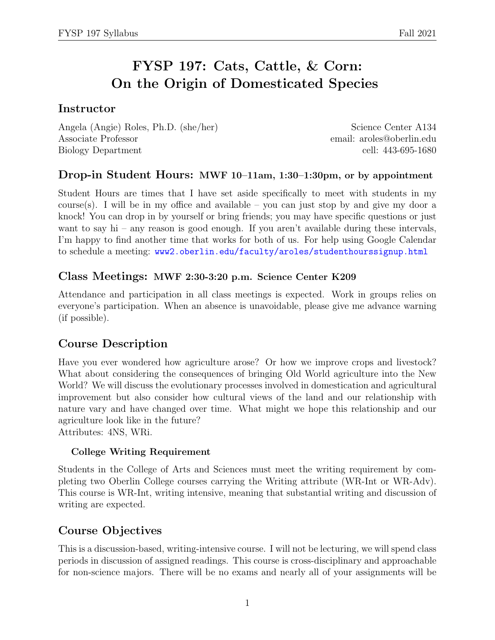# FYSP 197: Cats, Cattle, & Corn: On the Origin of Domesticated Species

## Instructor

Angela (Angie) Roles, Ph.D. (she/her) Science Center A134 Associate Professor email: aroles@oberlin.edu Biology Department cell: 443-695-1680

## Drop-in Student Hours: MWF 10–11am, 1:30–1:30pm, or by appointment

Student Hours are times that I have set aside specifically to meet with students in my course(s). I will be in my office and available – you can just stop by and give my door a knock! You can drop in by yourself or bring friends; you may have specific questions or just want to say hi – any reason is good enough. If you aren't available during these intervals, I'm happy to find another time that works for both of us. For help using Google Calendar to schedule a meeting: <www2.oberlin.edu/faculty/aroles/studenthourssignup.html>

### Class Meetings: MWF 2:30-3:20 p.m. Science Center K209

Attendance and participation in all class meetings is expected. Work in groups relies on everyone's participation. When an absence is unavoidable, please give me advance warning (if possible).

## Course Description

Have you ever wondered how agriculture arose? Or how we improve crops and livestock? What about considering the consequences of bringing Old World agriculture into the New World? We will discuss the evolutionary processes involved in domestication and agricultural improvement but also consider how cultural views of the land and our relationship with nature vary and have changed over time. What might we hope this relationship and our agriculture look like in the future?

Attributes: 4NS, WRi.

### College Writing Requirement

Students in the College of Arts and Sciences must meet the writing requirement by completing two Oberlin College courses carrying the Writing attribute (WR-Int or WR-Adv). This course is WR-Int, writing intensive, meaning that substantial writing and discussion of writing are expected.

## Course Objectives

This is a discussion-based, writing-intensive course. I will not be lecturing, we will spend class periods in discussion of assigned readings. This course is cross-disciplinary and approachable for non-science majors. There will be no exams and nearly all of your assignments will be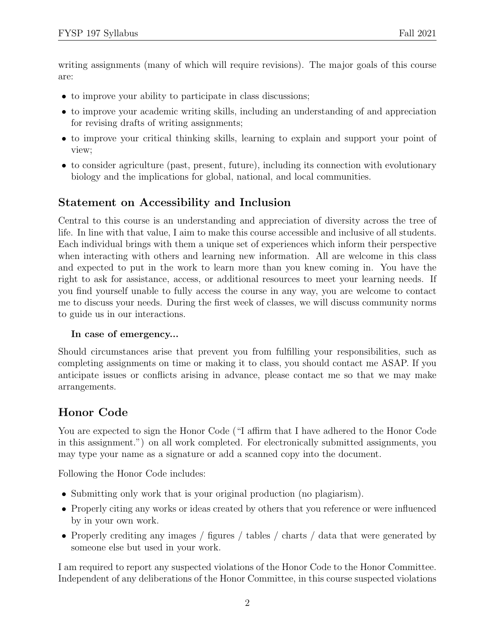writing assignments (many of which will require revisions). The major goals of this course are:

- to improve your ability to participate in class discussions;
- to improve your academic writing skills, including an understanding of and appreciation for revising drafts of writing assignments;
- to improve your critical thinking skills, learning to explain and support your point of view;
- to consider agriculture (past, present, future), including its connection with evolutionary biology and the implications for global, national, and local communities.

## Statement on Accessibility and Inclusion

Central to this course is an understanding and appreciation of diversity across the tree of life. In line with that value, I aim to make this course accessible and inclusive of all students. Each individual brings with them a unique set of experiences which inform their perspective when interacting with others and learning new information. All are welcome in this class and expected to put in the work to learn more than you knew coming in. You have the right to ask for assistance, access, or additional resources to meet your learning needs. If you find yourself unable to fully access the course in any way, you are welcome to contact me to discuss your needs. During the first week of classes, we will discuss community norms to guide us in our interactions.

### In case of emergency...

Should circumstances arise that prevent you from fulfilling your responsibilities, such as completing assignments on time or making it to class, you should contact me ASAP. If you anticipate issues or conflicts arising in advance, please contact me so that we may make arrangements.

## Honor Code

You are expected to sign the Honor Code ("I affirm that I have adhered to the Honor Code in this assignment.") on all work completed. For electronically submitted assignments, you may type your name as a signature or add a scanned copy into the document.

Following the Honor Code includes:

- Submitting only work that is your original production (no plagiarism).
- Properly citing any works or ideas created by others that you reference or were influenced by in your own work.
- Properly crediting any images / figures / tables / charts / data that were generated by someone else but used in your work.

I am required to report any suspected violations of the Honor Code to the Honor Committee. Independent of any deliberations of the Honor Committee, in this course suspected violations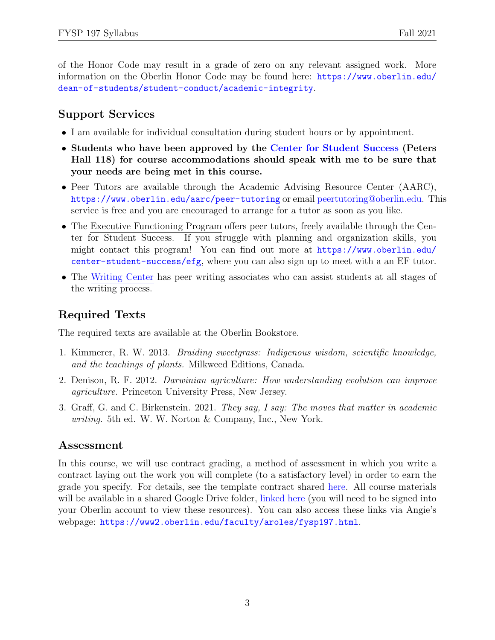of the Honor Code may result in a grade of zero on any relevant assigned work. More information on the Oberlin Honor Code may be found here: [https://www.oberlin.edu/](https://www.oberlin.edu/dean-of-students/student-conduct/academic-integrity) [dean-of-students/student-conduct/academic-integrity](https://www.oberlin.edu/dean-of-students/student-conduct/academic-integrity).

## Support Services

- I am available for individual consultation during student hours or by appointment.
- Students who have been approved by the [Center for Student Success](https://new.oberlin.edu/office/student-academic-services/) (Peters Hall 118) for course accommodations should speak with me to be sure that your needs are being met in this course.
- Peer Tutors are available through the Academic Advising Resource Center (AARC), <https://www.oberlin.edu/aarc/peer-tutoring> or email [peertutoring@oberlin.edu.](mailto:peertutoring@oberlin.edu) This service is free and you are encouraged to arrange for a tutor as soon as you like.
- The Executive Functioning Program offers peer tutors, freely available through the Center for Student Success. If you struggle with planning and organization skills, you might contact this program! You can find out more at [https://www.oberlin.edu/](https://www.oberlin.edu/center-student-success/efg) [center-student-success/efg](https://www.oberlin.edu/center-student-success/efg), where you can also sign up to meet with a an EF tutor.
- The [Writing](https://new.oberlin.edu/arts-and-sciences/departments/rhetoric/writing-associates-program/writing-center.dot) Center has peer writing associates who can assist students at all stages of the writing process.

# Required Texts

The required texts are available at the Oberlin Bookstore.

- 1. Kimmerer, R. W. 2013. Braiding sweetgrass: Indigenous wisdom, scientific knowledge, and the teachings of plants. Milkweed Editions, Canada.
- 2. Denison, R. F. 2012. Darwinian agriculture: How understanding evolution can improve agriculture. Princeton University Press, New Jersey.
- 3. Graff, G. and C. Birkenstein. 2021. They say, I say: The moves that matter in academic writing. 5th ed. W. W. Norton & Company, Inc., New York.

## Assessment

In this course, we will use contract grading, a method of assessment in which you write a contract laying out the work you will complete (to a satisfactory level) in order to earn the grade you specify. For details, see the template contract shared [here.](https://docs.google.com/document/d/1grkNzVi186MdiiU0dHPKXo3_IZndhx2HLtUVeL9yM1U/edit?usp=sharing) All course materials will be available in a shared Google Drive folder, [linked here](https://drive.google.com/drive/folders/1mAz_kgyY-vtDTbsDeleq3QvJ-DtO9bNv?usp=sharing) (you will need to be signed into your Oberlin account to view these resources). You can also access these links via Angie's webpage: <https://www2.oberlin.edu/faculty/aroles/fysp197.html>.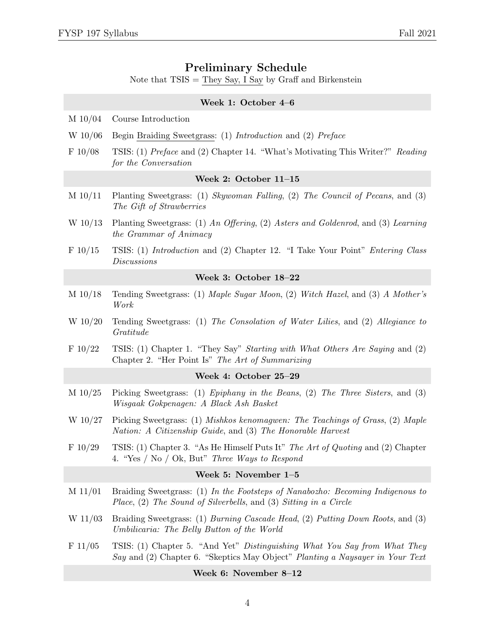### Preliminary Schedule

Note that  $TSIS = They Say, I Say by Graf and Birkenstein$ 

# Week 1: October 4–6 M 10/04 Course Introduction W 10/06 Begin Braiding Sweetgrass: (1) Introduction and (2) Preface F 10/08 TSIS: (1) Preface and (2) Chapter 14. "What's Motivating This Writer?" Reading for the Conversation Week 2: October 11–15 M 10/11 Planting Sweetgrass: (1) Skywoman Falling, (2) The Council of Pecans, and (3) The Gift of Strawberries W 10/13 Planting Sweetgrass: (1) An Offering, (2) Asters and Goldenrod, and (3) Learning the Grammar of Animacy F 10/15 TSIS: (1) Introduction and (2) Chapter 12. "I Take Your Point" Entering Class Discussions Week 3: October 18–22 M 10/18 Tending Sweetgrass: (1) Maple Sugar Moon, (2) Witch Hazel, and (3) A Mother's Work W 10/20 Tending Sweetgrass: (1) The Consolation of Water Lilies, and (2) Allegiance to Gratitude F 10/22 TSIS: (1) Chapter 1. "They Say" Starting with What Others Are Saying and (2) Chapter 2. "Her Point Is" The Art of Summarizing Week 4: October 25–29 M 10/25 Picking Sweetgrass: (1) Epiphany in the Beans, (2) The Three Sisters, and (3) Wisgaak Gokpenagen: A Black Ash Basket W 10/27 Picking Sweetgrass: (1) Mishkos kenomagwen: The Teachings of Grass, (2) Maple Nation: A Citizenship Guide, and (3) The Honorable Harvest F 10/29 TSIS: (1) Chapter 3. "As He Himself Puts It" The Art of Quoting and (2) Chapter 4. "Yes / No / Ok, But" Three Ways to Respond Week 5: November 1–5 M 11/01 Braiding Sweetgrass: (1) In the Footsteps of Nanabozho: Becoming Indigenous to Place, (2) The Sound of Silverbells, and (3) Sitting in a Circle W 11/03 Braiding Sweetgrass: (1) Burning Cascade Head, (2) Putting Down Roots, and (3) Umbilicaria: The Belly Button of the World F 11/05 TSIS: (1) Chapter 5. "And Yet" Distinguishing What You Say from What They Say and (2) Chapter 6. "Skeptics May Object" Planting a Naysayer in Your Text

#### Week 6: November 8–12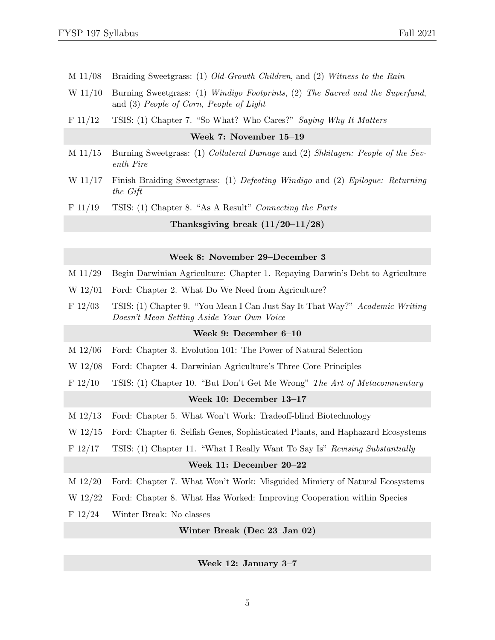- M 11/08 Braiding Sweetgrass: (1) Old-Growth Children, and (2) Witness to the Rain
- W 11/10 Burning Sweetgrass: (1) Windigo Footprints, (2) The Sacred and the Superfund, and (3) People of Corn, People of Light
- F 11/12 TSIS: (1) Chapter 7. "So What? Who Cares?" Saying Why It Matters

|                                    | Week 7: November $15-19$                                                                          |
|------------------------------------|---------------------------------------------------------------------------------------------------|
| M 11/15                            | Burning Sweetgrass: (1) Collateral Damage and (2) Shkitagen: People of the Sev-<br>enth Fire      |
|                                    | W 11/17 Finish Braiding Sweetgrass: (1) Defeating Windigo and (2) Epilogue: Returning<br>the Gift |
| F 11/19                            | TSIS: (1) Chapter 8. "As A Result" Connecting the Parts                                           |
| Thanksgiving break $(11/20-11/28)$ |                                                                                                   |
|                                    |                                                                                                   |

#### Week 8: November 29–December 3

- M 11/29 Begin Darwinian Agriculture: Chapter 1. Repaying Darwin's Debt to Agriculture
- W 12/01 Ford: Chapter 2. What Do We Need from Agriculture?
- F 12/03 TSIS: (1) Chapter 9. "You Mean I Can Just Say It That Way?" Academic Writing Doesn't Mean Setting Aside Your Own Voice

### Week 9: December 6–10

- M 12/06 Ford: Chapter 3. Evolution 101: The Power of Natural Selection
- W 12/08 Ford: Chapter 4. Darwinian Agriculture's Three Core Principles
- F 12/10 TSIS: (1) Chapter 10. "But Don't Get Me Wrong" The Art of Metacommentary

#### Week 10: December 13–17

- M 12/13 Ford: Chapter 5. What Won't Work: Tradeoff-blind Biotechnology
- W 12/15 Ford: Chapter 6. Selfish Genes, Sophisticated Plants, and Haphazard Ecosystems
- F 12/17 TSIS: (1) Chapter 11. "What I Really Want To Say Is" Revising Substantially

#### Week 11: December 20–22

- M 12/20 Ford: Chapter 7. What Won't Work: Misguided Mimicry of Natural Ecosystems
- W 12/22 Ford: Chapter 8. What Has Worked: Improving Cooperation within Species
- F 12/24 Winter Break: No classes

Winter Break (Dec 23–Jan 02)

#### Week 12: January 3–7